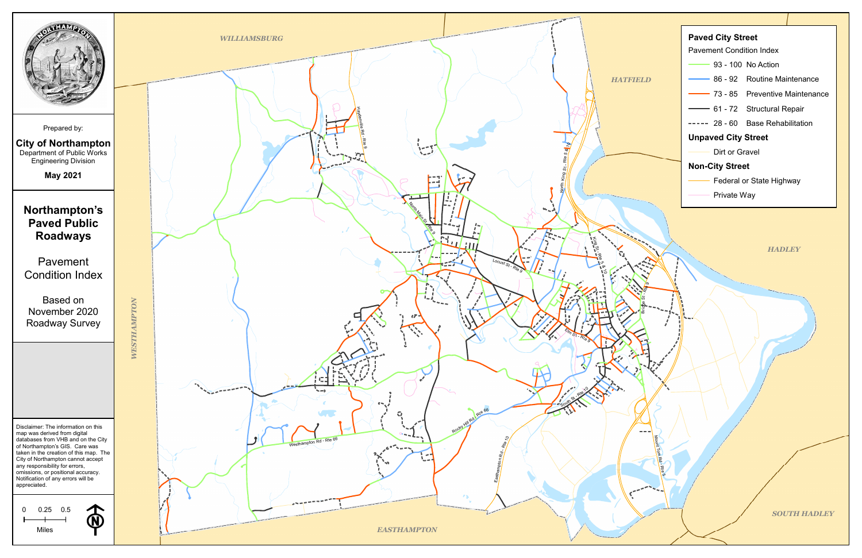